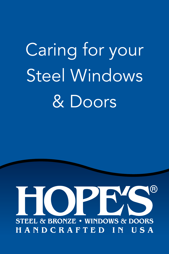# Caring for your Steel Windows & Doors

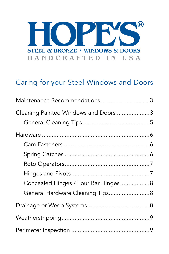

# Caring for your Steel Windows and Doors

| Maintenance Recommendations3         |  |
|--------------------------------------|--|
| Cleaning Painted Windows and Doors 3 |  |
|                                      |  |
|                                      |  |
|                                      |  |
|                                      |  |
|                                      |  |
|                                      |  |
| Concealed Hinges / Four Bar Hinges8  |  |
| General Hardware Cleaning Tips8      |  |
|                                      |  |
|                                      |  |
|                                      |  |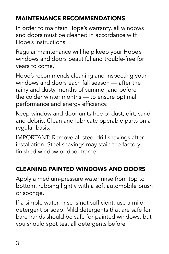# Maintenance Recommendations

In order to maintain Hope's warranty, all windows and doors must be cleaned in accordance with Hope's instructions.

Regular maintenance will help keep your Hope's windows and doors beautiful and trouble-free for years to come.

Hope's recommends cleaning and inspecting your windows and doors each fall season — after the rainy and dusty months of summer and before the colder winter months — to ensure optimal performance and energy efficiency.

Keep window and door units free of dust, dirt, sand and debris. Clean and lubricate operable parts on a regular basis.

IMPORTANT: Remove all steel drill shavings after installation. Steel shavings may stain the factory finished window or door frame.

# Cleaning Painted Windows and Doors

Apply a medium-pressure water rinse from top to bottom, rubbing lightly with a soft automobile brush or sponge.

If a simple water rinse is not sufficient, use a mild detergent or soap. Mild detergents that are safe for bare hands should be safe for painted windows, but you should spot test all detergents before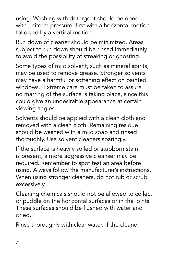using. Washing with detergent should be done with uniform pressure, first with a horizontal motion followed by a vertical motion.

Run down of cleaner should be minimized. Areas subject to run down should be rinsed immediately to avoid the possibility of streaking or ghosting.

Some types of mild solvent, such as mineral spirits, may be used to remove grease. Stronger solvents may have a harmful or softening effect on painted windows. Extreme care must be taken to assure no marring of the surface is taking place, since this could give an undesirable appearance at certain viewing angles.

Solvents should be applied with a clean cloth and removed with a clean cloth. Remaining residue should be washed with a mild soap and rinsed thoroughly. Use solvent cleaners sparingly.

If the surface is heavily soiled or stubborn stain is present, a more aggressive cleanser may be required. Remember to spot test an area before using. Always follow the manufacturer's instructions. When using stronger cleaners, do not rub or scrub excessively.

Cleaning chemicals should not be allowed to collect or puddle on the horizontal surfaces or in the joints. These surfaces should be flushed with water and dried.

Rinse thoroughly with clear water. If the cleaner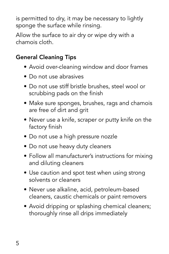is permitted to dry, it may be necessary to lightly sponge the surface while rinsing.

Allow the surface to air dry or wipe dry with a chamois cloth.

## General Cleaning Tips

- Avoid over-cleaning window and door frames
- Do not use abrasives
- Do not use stiff bristle brushes, steel wool or scrubbing pads on the finish
- Make sure sponges, brushes, rags and chamois are free of dirt and grit
- Never use a knife, scraper or putty knife on the factory finish
- Do not use a high pressure nozzle
- Do not use heavy duty cleaners
- Follow all manufacturer's instructions for mixing and diluting cleaners
- Use caution and spot test when using strong solvents or cleaners
- Never use alkaline, acid, petroleum-based cleaners, caustic chemicals or paint removers
- Avoid dripping or splashing chemical cleaners; thoroughly rinse all drips immediately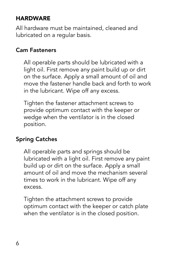## **HARDWARE**

All hardware must be maintained, cleaned and lubricated on a regular basis.

#### Cam Fasteners

All operable parts should be lubricated with a light oil. First remove any paint build up or dirt on the surface. Apply a small amount of oil and move the fastener handle back and forth to work in the lubricant. Wipe off any excess.

Tighten the fastener attachment screws to provide optimum contact with the keeper or wedge when the ventilator is in the closed position.

#### Spring Catches

All operable parts and springs should be lubricated with a light oil. First remove any paint build up or dirt on the surface. Apply a small amount of oil and move the mechanism several times to work in the lubricant. Wipe off any excess.

Tighten the attachment screws to provide optimum contact with the keeper or catch plate when the ventilator is in the closed position.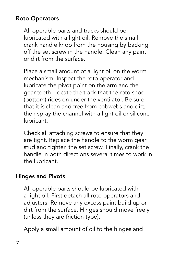#### Roto Operators

All operable parts and tracks should be lubricated with a light oil. Remove the small crank handle knob from the housing by backing off the set screw in the handle. Clean any paint or dirt from the surface.

Place a small amount of a light oil on the worm mechanism. Inspect the roto operator and lubricate the pivot point on the arm and the gear teeth. Locate the track that the roto shoe (bottom) rides on under the ventilator. Be sure that it is clean and free from cobwebs and dirt, then spray the channel with a light oil or silicone lubricant.

Check all attaching screws to ensure that they are tight. Replace the handle to the worm gear stud and tighten the set screw. Finally, crank the handle in both directions several times to work in the lubricant.

#### Hinges and Pivots

All operable parts should be lubricated with a light oil. First detach all roto operators and adjusters. Remove any excess paint build up or dirt from the surface. Hinges should move freely (unless they are friction type).

Apply a small amount of oil to the hinges and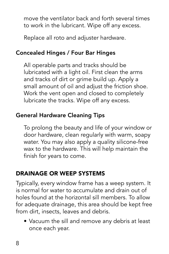move the ventilator back and forth several times to work in the lubricant. Wipe off any excess.

Replace all roto and adjuster hardware.

## Concealed Hinges / Four Bar Hinges

All operable parts and tracks should be lubricated with a light oil. First clean the arms and tracks of dirt or grime build up. Apply a small amount of oil and adjust the friction shoe. Work the vent open and closed to completely lubricate the tracks. Wipe off any excess.

## General Hardware Cleaning Tips

To prolong the beauty and life of your window or door hardware, clean regularly with warm, soapy water. You may also apply a quality silicone-free wax to the hardware. This will help maintain the finish for years to come.

## Drainage or Weep Systems

Typically, every window frame has a weep system. It is normal for water to accumulate and drain out of holes found at the horizontal sill members. To allow for adequate drainage, this area should be kept free from dirt, insects, leaves and debris.

• Vacuum the sill and remove any debris at least once each year.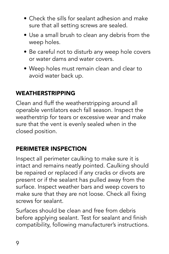- Check the sills for sealant adhesion and make sure that all setting screws are sealed.
- Use a small brush to clean any debris from the weep holes.
- Be careful not to disturb any weep hole covers or water dams and water covers.
- Weep holes must remain clean and clear to avoid water back up.

# **WEATHERSTRIPPING**

Clean and fluff the weatherstripping around all operable ventilators each fall season. Inspect the weatherstrip for tears or excessive wear and make sure that the vent is evenly sealed when in the closed position.

# Perimeter Inspection

Inspect all perimeter caulking to make sure it is intact and remains neatly pointed. Caulking should be repaired or replaced if any cracks or divots are present or if the sealant has pulled away from the surface. Inspect weather bars and weep covers to make sure that they are not loose. Check all fixing screws for sealant.

Surfaces should be clean and free from debris before applying sealant. Test for sealant and finish compatibility, following manufacturer's instructions.